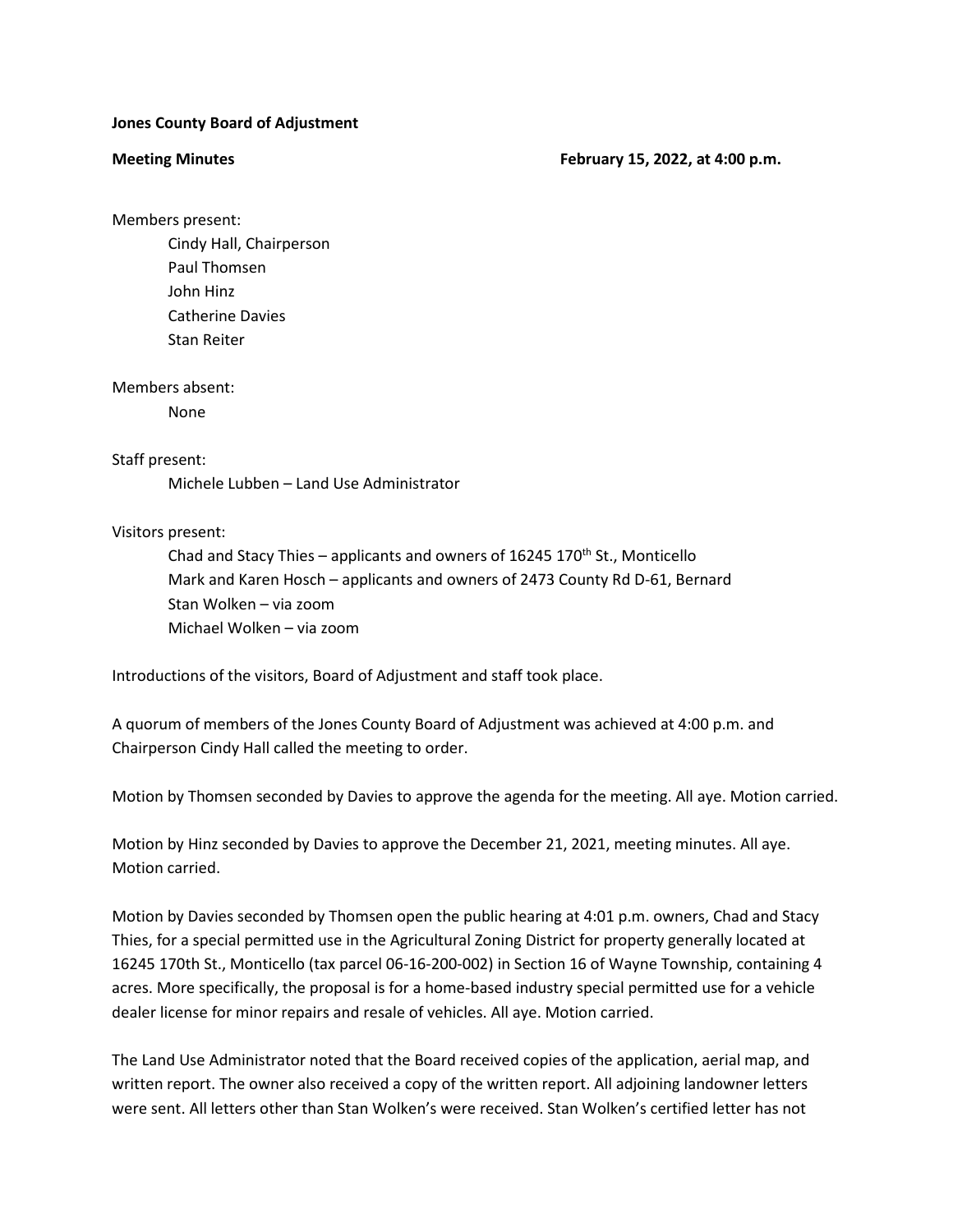## **Jones County Board of Adjustment**

**Meeting Minutes February 15, 2022, at 4:00 p.m.**

Members present:

Cindy Hall, Chairperson Paul Thomsen John Hinz Catherine Davies Stan Reiter

Members absent:

None

## Staff present:

Michele Lubben – Land Use Administrator

## Visitors present:

Chad and Stacy Thies – applicants and owners of 16245 170<sup>th</sup> St., Monticello Mark and Karen Hosch – applicants and owners of 2473 County Rd D-61, Bernard Stan Wolken – via zoom Michael Wolken – via zoom

Introductions of the visitors, Board of Adjustment and staff took place.

A quorum of members of the Jones County Board of Adjustment was achieved at 4:00 p.m. and Chairperson Cindy Hall called the meeting to order.

Motion by Thomsen seconded by Davies to approve the agenda for the meeting. All aye. Motion carried.

Motion by Hinz seconded by Davies to approve the December 21, 2021, meeting minutes. All aye. Motion carried.

Motion by Davies seconded by Thomsen open the public hearing at 4:01 p.m. owners, Chad and Stacy Thies, for a special permitted use in the Agricultural Zoning District for property generally located at 16245 170th St., Monticello (tax parcel 06-16-200-002) in Section 16 of Wayne Township, containing 4 acres. More specifically, the proposal is for a home-based industry special permitted use for a vehicle dealer license for minor repairs and resale of vehicles. All aye. Motion carried.

The Land Use Administrator noted that the Board received copies of the application, aerial map, and written report. The owner also received a copy of the written report. All adjoining landowner letters were sent. All letters other than Stan Wolken's were received. Stan Wolken's certified letter has not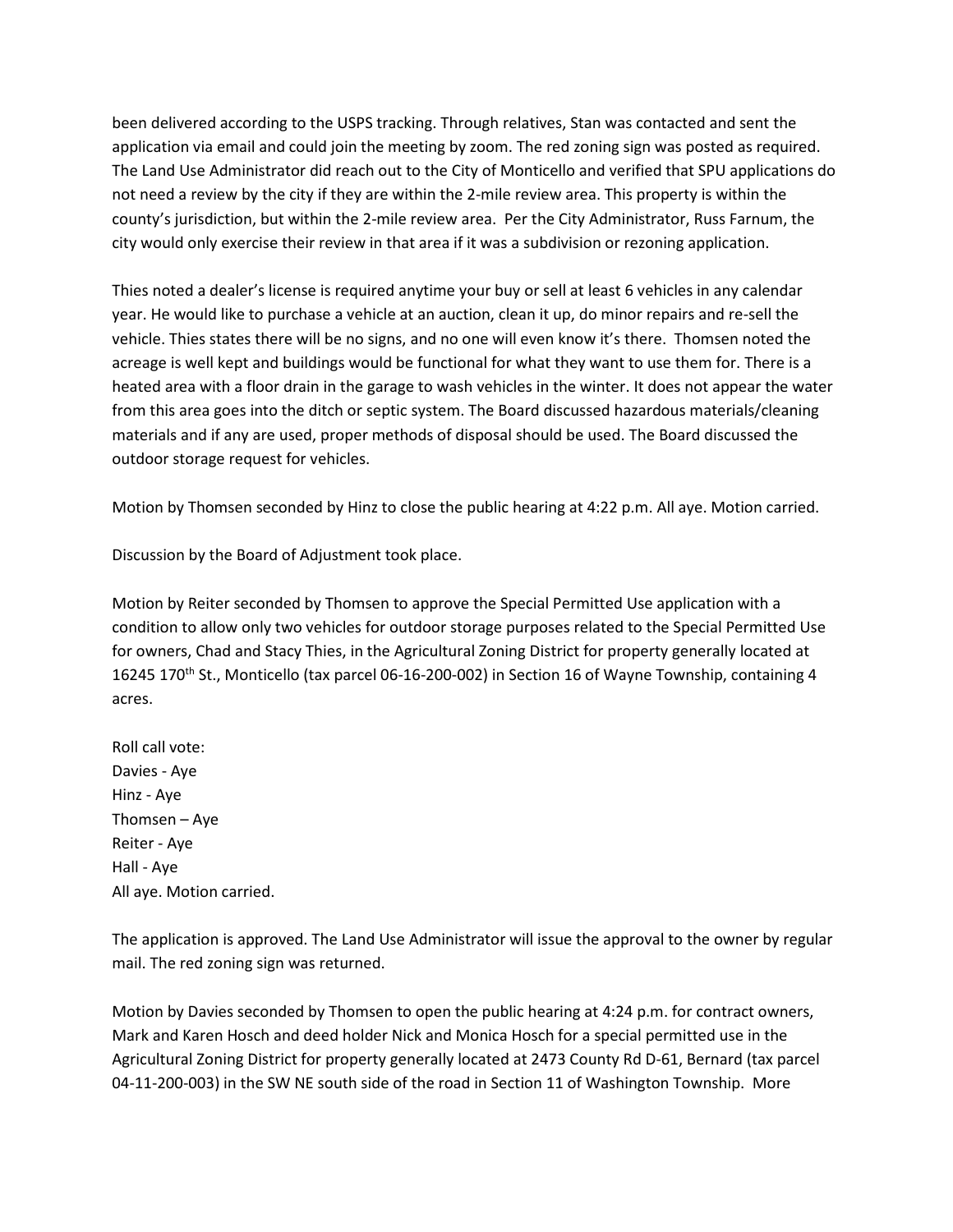been delivered according to the USPS tracking. Through relatives, Stan was contacted and sent the application via email and could join the meeting by zoom. The red zoning sign was posted as required. The Land Use Administrator did reach out to the City of Monticello and verified that SPU applications do not need a review by the city if they are within the 2-mile review area. This property is within the county's jurisdiction, but within the 2-mile review area. Per the City Administrator, Russ Farnum, the city would only exercise their review in that area if it was a subdivision or rezoning application.

Thies noted a dealer's license is required anytime your buy or sell at least 6 vehicles in any calendar year. He would like to purchase a vehicle at an auction, clean it up, do minor repairs and re-sell the vehicle. Thies states there will be no signs, and no one will even know it's there. Thomsen noted the acreage is well kept and buildings would be functional for what they want to use them for. There is a heated area with a floor drain in the garage to wash vehicles in the winter. It does not appear the water from this area goes into the ditch or septic system. The Board discussed hazardous materials/cleaning materials and if any are used, proper methods of disposal should be used. The Board discussed the outdoor storage request for vehicles.

Motion by Thomsen seconded by Hinz to close the public hearing at 4:22 p.m. All aye. Motion carried.

Discussion by the Board of Adjustment took place.

Motion by Reiter seconded by Thomsen to approve the Special Permitted Use application with a condition to allow only two vehicles for outdoor storage purposes related to the Special Permitted Use for owners, Chad and Stacy Thies, in the Agricultural Zoning District for property generally located at 16245 170<sup>th</sup> St., Monticello (tax parcel 06-16-200-002) in Section 16 of Wayne Township, containing 4 acres.

Roll call vote: Davies - Aye Hinz - Aye Thomsen – Aye Reiter - Aye Hall - Aye All aye. Motion carried.

The application is approved. The Land Use Administrator will issue the approval to the owner by regular mail. The red zoning sign was returned.

Motion by Davies seconded by Thomsen to open the public hearing at 4:24 p.m. for contract owners, Mark and Karen Hosch and deed holder Nick and Monica Hosch for a special permitted use in the Agricultural Zoning District for property generally located at 2473 County Rd D-61, Bernard (tax parcel 04-11-200-003) in the SW NE south side of the road in Section 11 of Washington Township. More